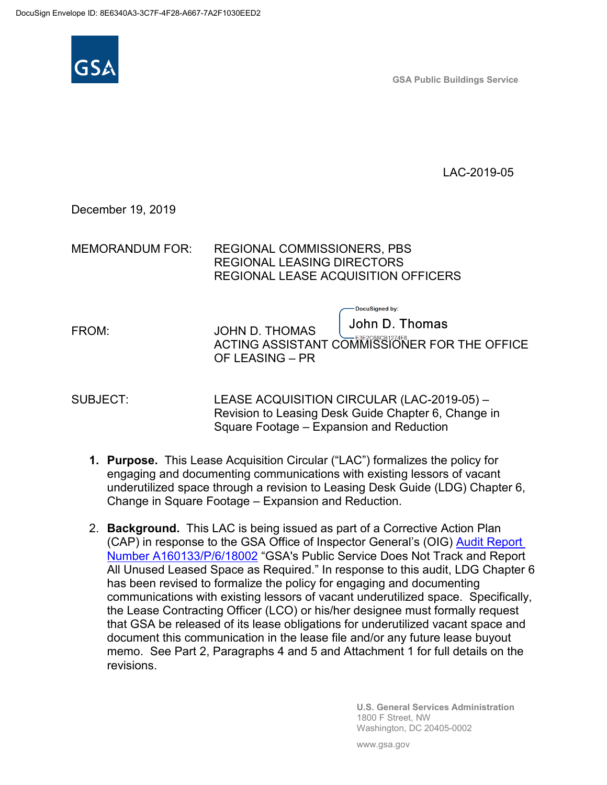

**GSA Public Buildings Service**

LAC-2019-05

December 19, 2019

MEMORANDUM FOR: REGIONAL COMMISSIONERS, PBS REGIONAL LEASING DIRECTORS REGIONAL LEASE ACQUISITION OFFICERS

FROM: JOHN D. THOMAS

ACTING ASSISTANT COMMISSIONER FOR THE OFFICE OF LEASING – PR

-DocuSigned by:

John D. Thomas

SUBJECT: LEASE ACQUISITION CIRCULAR (LAC-2019-05) – Revision to Leasing Desk Guide Chapter 6, Change in Square Footage – Expansion and Reduction

- **1. Purpose.** This Lease Acquisition Circular ("LAC") formalizes the policy for engaging and documenting communications with existing lessors of vacant underutilized space through a revision to Leasing Desk Guide (LDG) Chapter 6, Change in Square Footage – Expansion and Reduction.
- 2. **Background.** This LAC is being issued as part of a Corrective Action Plan (CAP) in response to the GSA Office of Inspector General's (OIG) [Audit Report](https://www.oversight.gov/sites/default/files/oig-reports/A160133_1.pdf)  [Number A160133/P/6/18002](https://www.oversight.gov/sites/default/files/oig-reports/A160133_1.pdf) "GSA's Public Service Does Not Track and Report All Unused Leased Space as Required." In response to this audit, LDG Chapter 6 has been revised to formalize the policy for engaging and documenting communications with existing lessors of vacant underutilized space. Specifically, the Lease Contracting Officer (LCO) or his/her designee must formally request that GSA be released of its lease obligations for underutilized vacant space and document this communication in the lease file and/or any future lease buyout memo. See Part 2, Paragraphs 4 and 5 and Attachment 1 for full details on the revisions.

**U.S. General Services Administration** 1800 F Street, NW Washington, DC 20405-0002

www.gsa.gov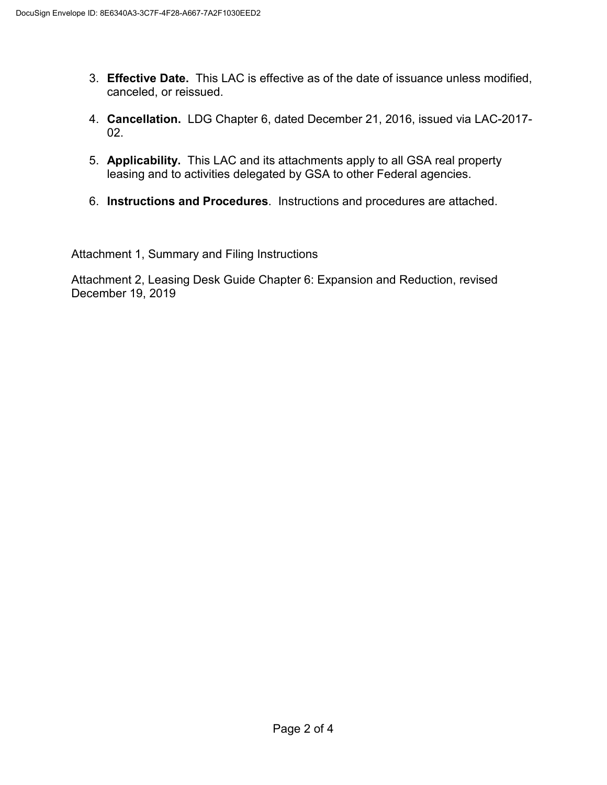- 3. **Effective Date.** This LAC is effective as of the date of issuance unless modified, canceled, or reissued.
- 4. **Cancellation.** LDG Chapter 6, dated December 21, 2016, issued via LAC-2017-  $02<sub>2</sub>$
- 5. **Applicability.** This LAC and its attachments apply to all GSA real property leasing and to activities delegated by GSA to other Federal agencies.
- 6. **Instructions and Procedures**. Instructions and procedures are attached.

Attachment 1, Summary and Filing Instructions

Attachment 2, Leasing Desk Guide Chapter 6: Expansion and Reduction, revised December 19, 2019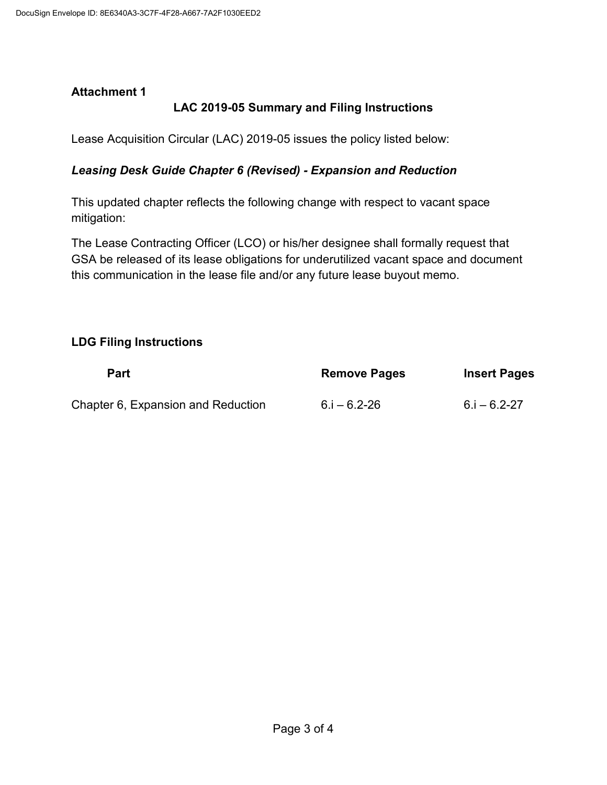### **Attachment 1**

## **LAC 2019-05 Summary and Filing Instructions**

Lease Acquisition Circular (LAC) 2019-05 issues the policy listed below:

#### *Leasing Desk Guide Chapter 6 (Revised) - Expansion and Reduction*

This updated chapter reflects the following change with respect to vacant space mitigation:

The Lease Contracting Officer (LCO) or his/her designee shall formally request that GSA be released of its lease obligations for underutilized vacant space and document this communication in the lease file and/or any future lease buyout memo.

#### **LDG Filing Instructions**

| <b>Part</b>                        | <b>Remove Pages</b> | <b>Insert Pages</b> |
|------------------------------------|---------------------|---------------------|
| Chapter 6, Expansion and Reduction | $6.1 - 6.2 - 26$    | $6.1 - 6.2 - 27$    |